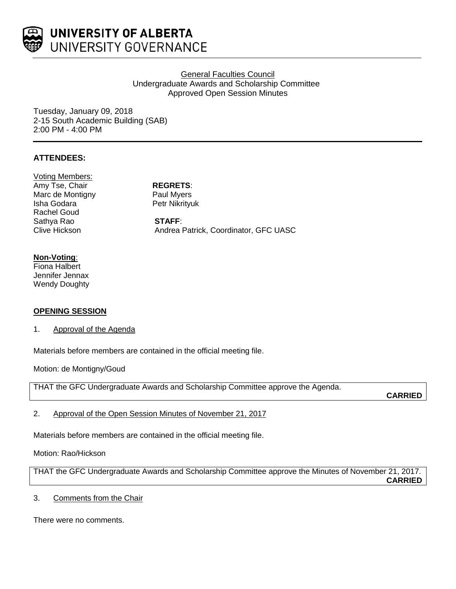

# General Faculties Council Undergraduate Awards and Scholarship Committee Approved Open Session Minutes

Tuesday, January 09, 2018 2-15 South Academic Building (SAB) 2:00 PM - 4:00 PM

# **ATTENDEES:**

Voting Members: Amy Tse, Chair **REGRETS**: Marc de Montigny **Paul Myers** Isha Godara **Petr Nikrityuk** Rachel Goud Sathya Rao **STAFF**:<br>Clive Hickson **STAFF**: Andrea I

Andrea Patrick, Coordinator, GFC UASC

#### **Non-Voting**:

Fiona Halbert Jennifer Jennax Wendy Doughty

# **OPENING SESSION**

#### 1. Approval of the Agenda

Materials before members are contained in the official meeting file.

Motion: de Montigny/Goud

THAT the GFC Undergraduate Awards and Scholarship Committee approve the Agenda.

**CARRIED**

2. Approval of the Open Session Minutes of November 21, 2017

Materials before members are contained in the official meeting file.

# Motion: Rao/Hickson

THAT the GFC Undergraduate Awards and Scholarship Committee approve the Minutes of November 21, 2017. **CARRIED**

# 3. Comments from the Chair

There were no comments.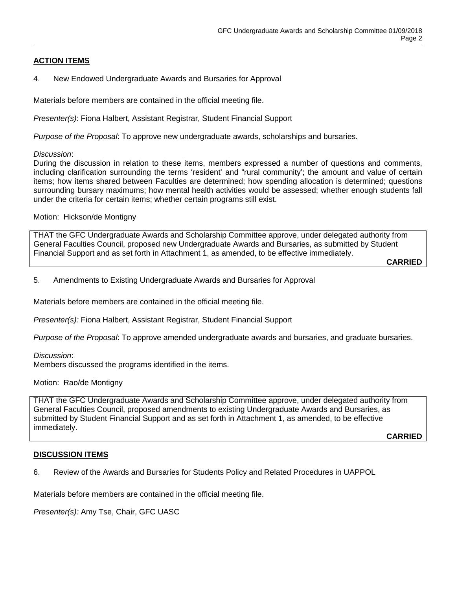# **ACTION ITEMS**

### 4. New Endowed Undergraduate Awards and Bursaries for Approval

Materials before members are contained in the official meeting file.

*Presenter(s)*: Fiona Halbert, Assistant Registrar, Student Financial Support

*Purpose of the Proposal*: To approve new undergraduate awards, scholarships and bursaries.

#### *Discussion*:

During the discussion in relation to these items, members expressed a number of questions and comments, including clarification surrounding the terms 'resident' and "rural community'; the amount and value of certain items; how items shared between Faculties are determined; how spending allocation is determined; questions surrounding bursary maximums; how mental health activities would be assessed; whether enough students fall under the criteria for certain items; whether certain programs still exist.

#### Motion: Hickson/de Montigny

THAT the GFC Undergraduate Awards and Scholarship Committee approve, under delegated authority from General Faculties Council, proposed new Undergraduate Awards and Bursaries, as submitted by Student Financial Support and as set forth in Attachment 1, as amended, to be effective immediately.

**CARRIED**

5. Amendments to Existing Undergraduate Awards and Bursaries for Approval

Materials before members are contained in the official meeting file.

*Presenter(s):* Fiona Halbert, Assistant Registrar, Student Financial Support

*Purpose of the Proposal*: To approve amended undergraduate awards and bursaries, and graduate bursaries.

#### *Discussion*:

Members discussed the programs identified in the items.

Motion: Rao/de Montigny

THAT the GFC Undergraduate Awards and Scholarship Committee approve, under delegated authority from General Faculties Council, proposed amendments to existing Undergraduate Awards and Bursaries, as submitted by Student Financial Support and as set forth in Attachment 1, as amended, to be effective immediately.

**CARRIED**

#### **DISCUSSION ITEMS**

# 6. Review of the Awards and Bursaries for Students Policy and Related Procedures in UAPPOL

Materials before members are contained in the official meeting file.

*Presenter(s):* Amy Tse, Chair, GFC UASC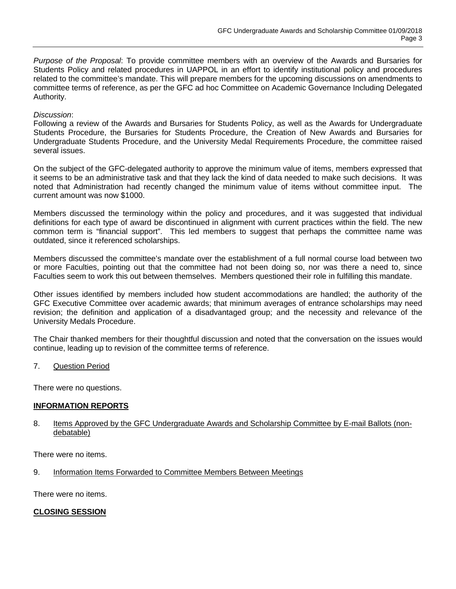*Purpose of the Proposal*: To provide committee members with an overview of the Awards and Bursaries for Students Policy and related procedures in UAPPOL in an effort to identify institutional policy and procedures related to the committee's mandate. This will prepare members for the upcoming discussions on amendments to committee terms of reference, as per the GFC ad hoc Committee on Academic Governance Including Delegated Authority.

# *Discussion*:

Following a review of the Awards and Bursaries for Students Policy, as well as the Awards for Undergraduate Students Procedure, the Bursaries for Students Procedure, the Creation of New Awards and Bursaries for Undergraduate Students Procedure, and the University Medal Requirements Procedure, the committee raised several issues.

On the subject of the GFC-delegated authority to approve the minimum value of items, members expressed that it seems to be an administrative task and that they lack the kind of data needed to make such decisions. It was noted that Administration had recently changed the minimum value of items without committee input. The current amount was now \$1000.

Members discussed the terminology within the policy and procedures, and it was suggested that individual definitions for each type of award be discontinued in alignment with current practices within the field. The new common term is "financial support". This led members to suggest that perhaps the committee name was outdated, since it referenced scholarships.

Members discussed the committee's mandate over the establishment of a full normal course load between two or more Faculties, pointing out that the committee had not been doing so, nor was there a need to, since Faculties seem to work this out between themselves. Members questioned their role in fulfilling this mandate.

Other issues identified by members included how student accommodations are handled; the authority of the GFC Executive Committee over academic awards; that minimum averages of entrance scholarships may need revision; the definition and application of a disadvantaged group; and the necessity and relevance of the University Medals Procedure.

The Chair thanked members for their thoughtful discussion and noted that the conversation on the issues would continue, leading up to revision of the committee terms of reference.

7. Question Period

There were no questions.

# **INFORMATION REPORTS**

#### 8. Items Approved by the GFC Undergraduate Awards and Scholarship Committee by E-mail Ballots (nondebatable)

There were no items.

9. Information Items Forwarded to Committee Members Between Meetings

There were no items.

# **CLOSING SESSION**